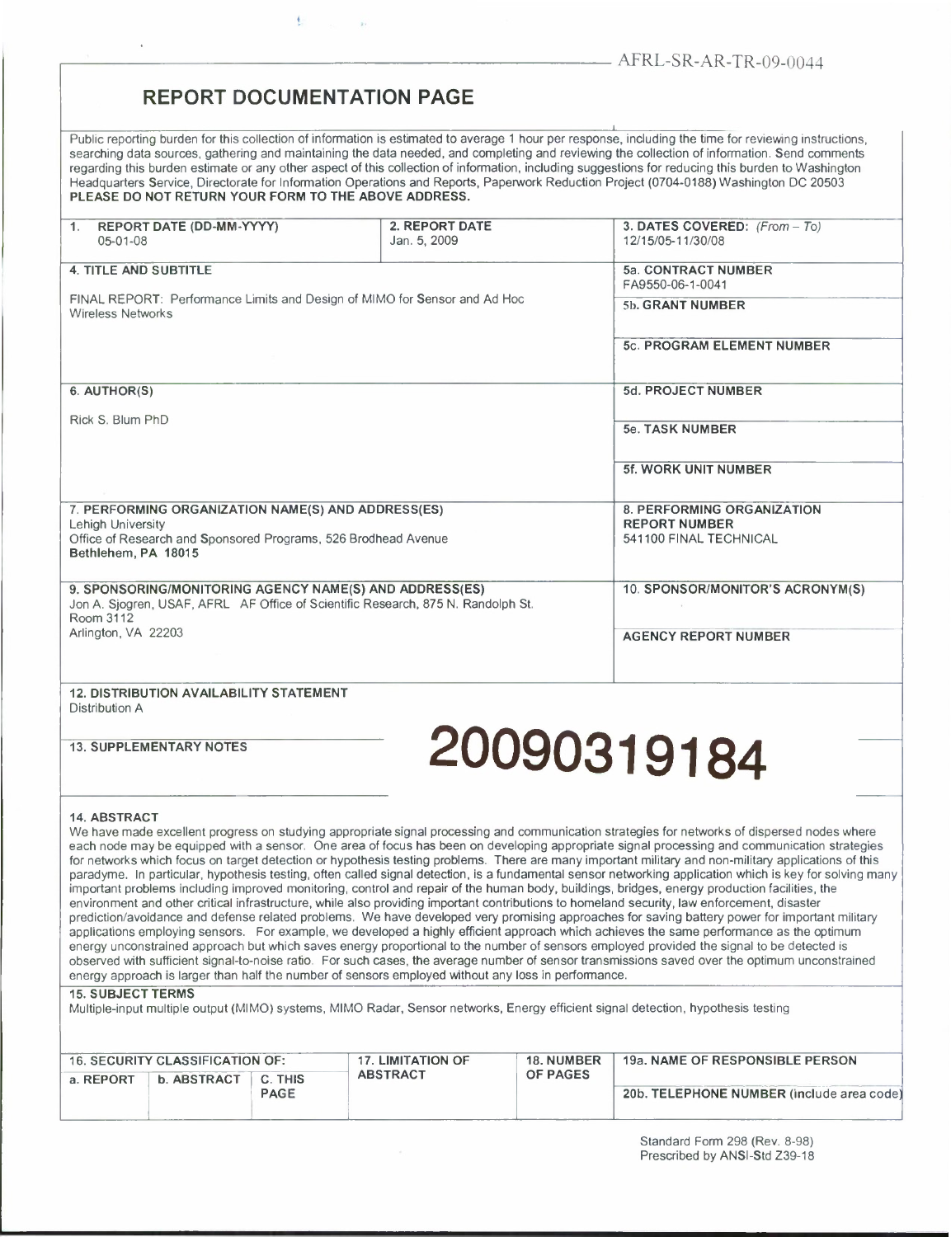## **REPORT DOCUMENTATION PAGE**

Public reporting burden for this collection of information is estimated to average <sup>1</sup> hour per response, including the time for reviewing instructions, searching data sources, gathering and maintaining the data needed, and completing and reviewing the collection of information. Send comments regarding this burden estimate or any other aspect of this collection of information, including suggestions for reducing this burden to Washington Headquarters Service, Directorate for Information Operations and Reports, Paperwork Reduction Project (0704-0188) Washington DC 20503 **PLEASE DO NOT RETURN YOUR FORM TO THE ABOVE ADDRESS.**

| 1. REPORT DATE (DD-MM-YYYY)<br>$05 - 01 - 08$                                                                                                            | 2. REPORT DATE<br>Jan. 5, 2009                     | 3. DATES COVERED: (From - To)<br>12/15/05-11/30/08 |  |  |
|----------------------------------------------------------------------------------------------------------------------------------------------------------|----------------------------------------------------|----------------------------------------------------|--|--|
| <b>4. TITLE AND SUBTITLE</b>                                                                                                                             | 5a. CONTRACT NUMBER<br>FA9550-06-1-0041            |                                                    |  |  |
| FINAL REPORT: Performance Limits and Design of MIMO for Sensor and Ad Hoc<br><b>Wireless Networks</b>                                                    |                                                    | 5b. GRANT NUMBER                                   |  |  |
|                                                                                                                                                          |                                                    | <b>5c. PROGRAM ELEMENT NUMBER</b>                  |  |  |
| 6. AUTHOR(S)                                                                                                                                             |                                                    | 5d. PROJECT NUMBER                                 |  |  |
| Rick S. Blum PhD                                                                                                                                         |                                                    | <b>5e. TASK NUMBER</b>                             |  |  |
|                                                                                                                                                          |                                                    | <b>5f. WORK UNIT NUMBER</b>                        |  |  |
| 7. PERFORMING ORGANIZATION NAME(S) AND ADDRESS(ES)                                                                                                       | 8. PERFORMING ORGANIZATION<br><b>REPORT NUMBER</b> |                                                    |  |  |
| <b>Lehigh University</b><br>Office of Research and Sponsored Programs, 526 Brodhead Avenue<br>Bethlehem, PA 18015                                        |                                                    | 541100 FINAL TECHNICAL                             |  |  |
| 9. SPONSORING/MONITORING AGENCY NAME(S) AND ADDRESS(ES)<br>Jon A. Siogren, USAF, AFRL AF Office of Scientific Research, 875 N. Randolph St.<br>Room 3112 |                                                    | 10. SPONSOR/MONITOR'S ACRONYM(S)                   |  |  |
| Arlington, VA 22203                                                                                                                                      |                                                    | <b>AGENCY REPORT NUMBER</b>                        |  |  |
| <b>12. DISTRIBUTION AVAILABILITY STATEMENT</b><br>Distribution A                                                                                         |                                                    |                                                    |  |  |

# **13. SUPPLEMENTARY NOTES 20090319184**

#### **14. ABSTRACT**

We have made excellent progress on studying appropriate signal processing and communication strategies for networks of dispersed nodes where each node may be equipped with a sensor. One area of focus has been on developing appropriate signal processing and communication strategies for networks which focus on target detection or hypothesis testing problems. There are many important military and non-military applications of this paradyme. In particular, hypothesis testing, often called signal detection, is a fundamental sensor networking application which is key for solving many important problems including improved monitoring, control and repair of the human body, buildings, bridges, energy production facilities, the environment and other critical infrastructure, while also providing important contributions to homeland security, law enforcement, disaster prediction/avoidance and defense related problems. We have developed very promising approaches for saving battery power for important military applications employing sensors. For example, we developed a highly efficient approach which achieves the same performance as the optimum energy unconstrained approach but which saves energy proportional to the number of sensors employed provided the signal to be detected is observed with sufficient signal-to-noise ratio. For such cases, the average number of sensor transmissions saved over the optimum unconstrained energy approach is larger than half the number of sensors employed without any loss in performance.

### **15. SUBJECT TERMS**

Multiple-input multiple output (MIMO) systems, MIMO Radar, Sensor networks, Energy efficient signal detection, hypothesis testing

| <b>16. SECURITY CLASSIFICATION OF:</b> |             |                        | <b>17. LIMITATION OF</b> | <b>18. NUMBER</b> | 19a. NAME OF RESPONSIBLE PERSON           |
|----------------------------------------|-------------|------------------------|--------------------------|-------------------|-------------------------------------------|
| a. REPORT                              | b. ABSTRACT | C. THIS<br><b>PAGE</b> | <b>ABSTRACT</b>          | <b>OF PAGES</b>   | 20b. TELEPHONE NUMBER (include area code) |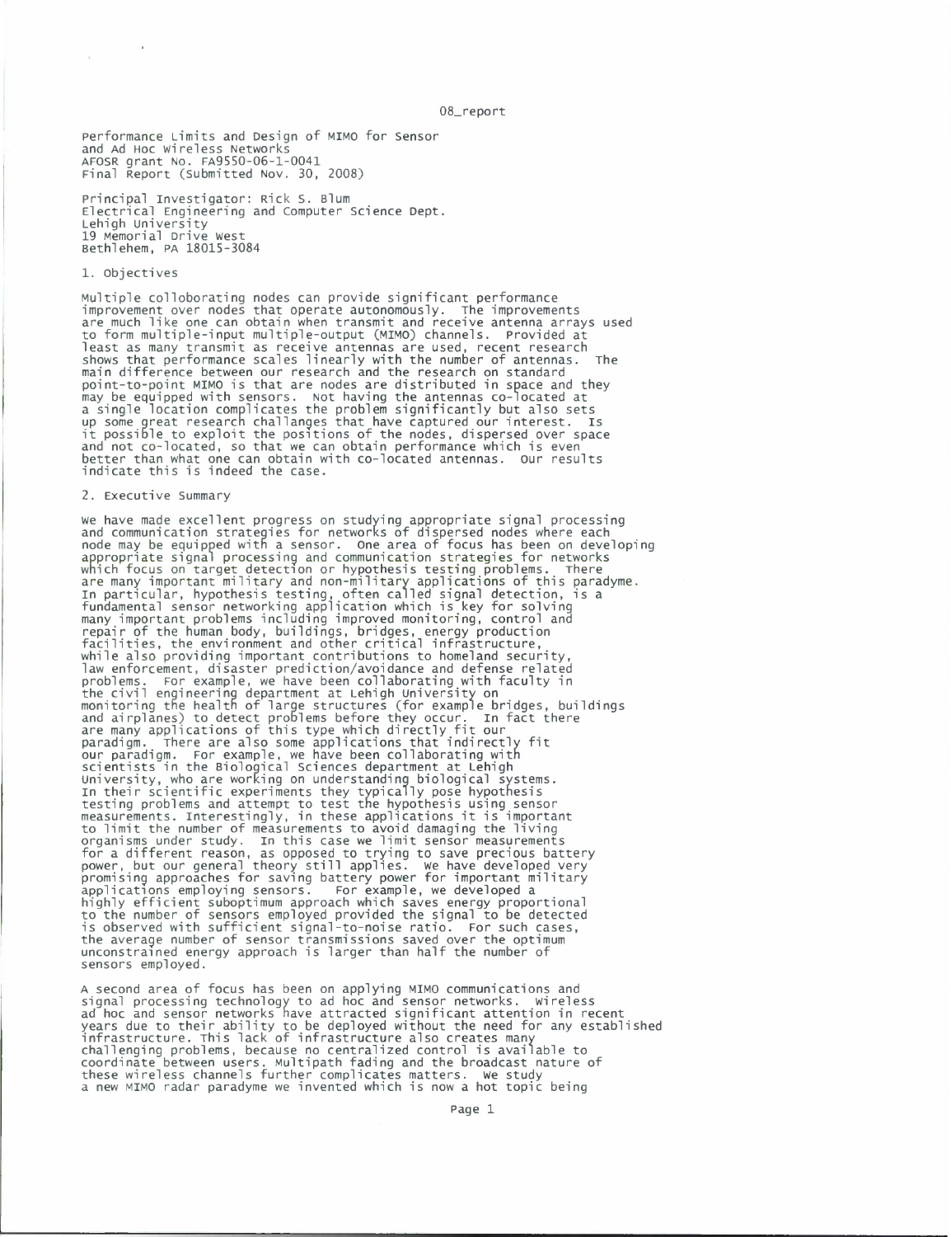08\_report

Performance Limits and Design of MIMO for Sensor and Ad HOC Wireless Networks AFOSR grant No. FA9550-06-1-0041 Final Report (Submitted Nov. 30, 2008)

Principal Investigator: Rick S. Blum Electrical Engineering and Computer Science Dept. Lehigh university 19 Memorial Drive west Bethlehem, PA 18015-3084

#### 1. Objectives

Multiple colloborating nodes can provide significant performance improvement over nodes that operate autonomously. The improvements are much like one can obtain when transmit and receive antenna arrays used to form multiple-input multiple-output (MIMO) channels, provided at least as many transmit as receive antennas are used, recent research shows that performance scales linearly with the number of antennas. The main difference between our research and the research on standard point-to-point MIMO is that are nodes are distributed in space and they may be equipped with sensors. Not having the antennas co-located at <sup>a</sup> single location complicates the problem significantly but also sets up some great research challanges that have captured our interest, is it possible to exploit the positions of the nodes, dispersed over space and not co-located, so that we can obtain performance which is even better than what one can obtain with co-located antennas. Our results indicate this is indeed the case.

#### 2. Executive Summary

we have made excellent progress on studying appropriate signal processing and communication strategies for networks of dispersed nodes where each node may be equipped with a sensor. One area of focus has been on developing appropriate signal processing and communication strategies for networks which focus on target detection or hypothesis testing problems. There are many important military and non-military applications of this paradyme. in particular, hypothesis testing, often called signal detection, is a fundamental sensor networking application which is key for solving many important problems including improved monitoring, control and repair of the human body, buildings, bridges, energy production facilities, the environment and other critical infrastructure, while also providing important contributions to homeland security, law enforcement, disaster prediction/avoidance and defense related<br>problems. For example, we have been collaborating with faculty in<br>the civil engineering department at Lehigh University on<br>monitoring the health of large s and airplanes) to detect problems before they occur. In fact there<br>are many applications of this type which directly fit our<br>paradigm. There are also some applications that indirectly fit<br>our paradigm. For example, we have University, who are working on understanding biological systems.<br>In their scientific experiments they typically pose hypothesis<br>testing problems and attempt to test the hypothesis using sensor<br>measurements. Interestingly, to limit the number of measurements to avoid damaging the living organisms under study, in this case we limit sensor measurements for a different reason, as opposed to trying to save precious battery power, but our general theory still applies. We have developed very promising approaches for saving battery power for important military applications employing sensors. For example, we developed a highly efficient suboptimum approach which saves energy proportional to the number of sensors employed provided the signal to be detected is observed with sufficient signal-to-noise ratio. For such cases, the average number of sensor transmissions saved over the optimum unconstrained energy approach is larger than half the number of sensors employed.

A second area of focus has been on applying MIMO communications and<br>signal processing technology to ad hoc and sensor networks. wireless<br>ad hoc and sensor networks have attracted significant attention in recent<br>years due t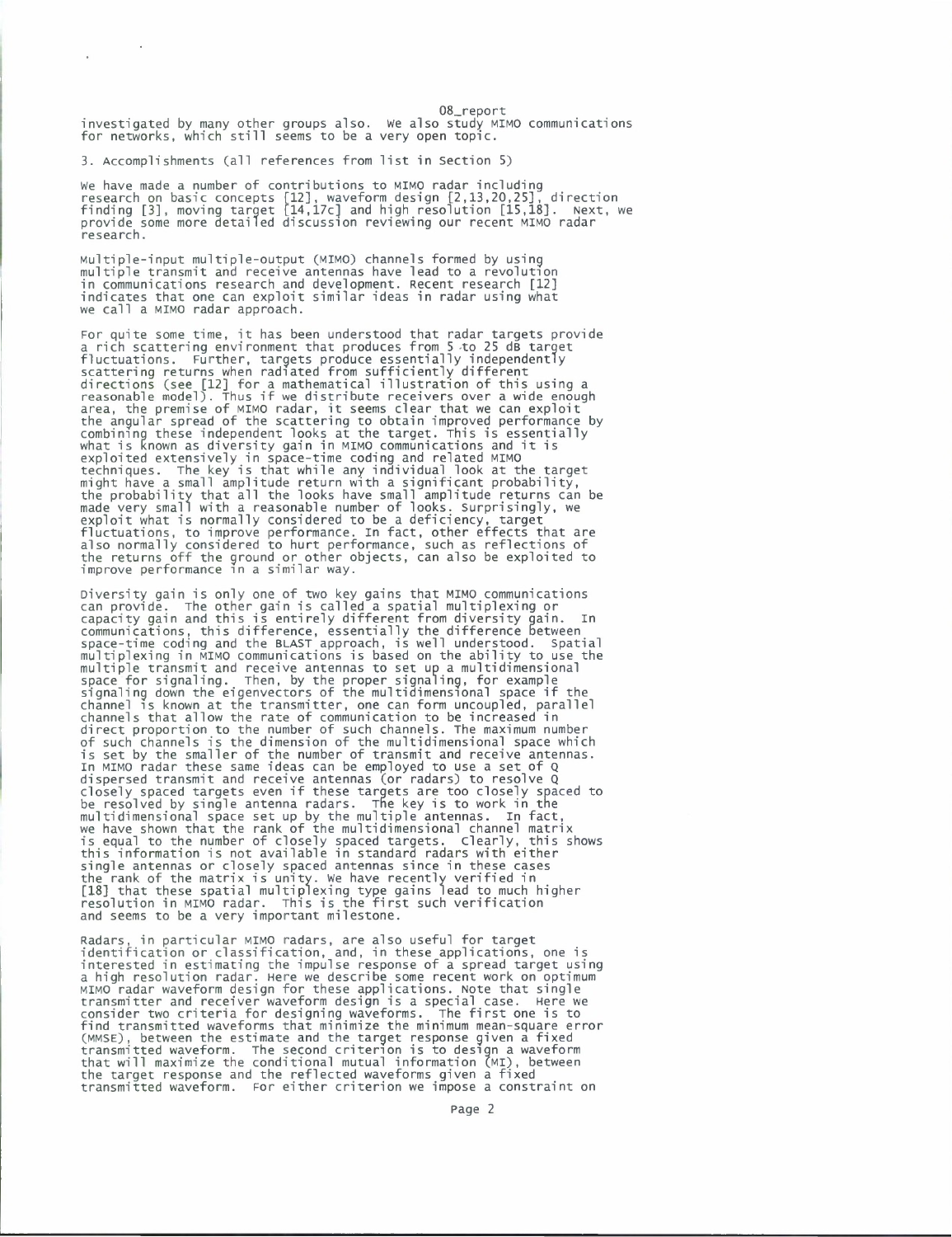08\_report investigated by many other groups also, we also study MIMO communications for networks, which still seems to be <sup>a</sup> very open topic.

3. Accomplishments (all references from list in Section 5)

We have made a number of contributions to MIMO radar including<br>research on basic concepts [12], waveform design [2,13,20,25], direction<br>finding [3], moving target [14,17c] and high resolution [15,18]. Next, we<br>provide som research.

Multiple-input multiple-output (MIMO) channels formed by using multiple transmit and receive antennas have lead to a revolution in communications research and development. Recent research [12] indicates that one can exploit similar ideas in radar using what we call a MIMO radar approach.

For quite some time, it has been understood that radar targets provide a rich scattering environment that produces from <sup>5</sup> to 25 dB target fluctuations. Further, targets produce essentially independently scattering returns when radiated from sufficiently different directions (see [12] for a mathematical illustration of this using a reasonable model). Thus if we distribute receivers over a wide enough area, the premise of MIMO radar, it seems clear that we can exploit the angular spread of the scattering to obtain improved performance by combining these independent looks at the target. This is essentially what is known as diversity gain in MIMO communications and it is exploited extensively in space-time coding and related MIMO techniques. The key is that while any individual look at the target might have a small amplitude return with a significant probability, the probability that all the looks have small amplitude returns can be made very small with a reasonable number of looks. Surprisingly, we exploit what is normally considered to be a deficiency, target fluctuations, to improve performance. In fact, other effects that are<br>also normally considered to hurt performance, such as reflections of<br>the returns off the ground or other objects, can also be exploited to<br>improve perfo

Diversity gain is only one of two key gains that MIMO communications can provide. The other gain is called a spatial multiplexing or capacity gain and this is entirely different from diversity gain. In<br>communications, this difference, essentially the difference between<br>space-time coding and the BLAST approach, is well understood. Spatial<br>multiplexing multiple transmit and receive antennas to set up a multidimensional space for signaling. Then, by the proper signaling, for example signaling down the eigenvectors of the multidimensional space if the channel is known at the transmitter, one can form uncoupled, parallel channels that allow the rate of communication to be increased in direct proportion to the number of such channels. The maximum number of such channels is the dimension of the multidimensional space which is set by the smaller of the number of transmit and receive antennas, in MIMO radar these same ideas can be employed to use a set of Q dispersed transmit and receive antennas (or radars) to resolve Q closely spaced targets even if these targets are too closely spaced to be resolved by single antenna radars. The key is to work in the multidimensional space set up by the multiple antennas. In fact, we have shown that the rank of the multidimensional channel matrix is equal to the number of closely spaced targets. Clearly, this shows this information is not available in standard radars with either single antennas or closely spaced antennas since in these cases<br>the rank of the matrix is unity. We have recently verified in<br>[18] that these spatial multiplexing type gains lead to much higher<br>resolution in MIMO radar. and seems to be a very important milestone.

Radars, in particular MIMO radars, are also useful for target<br>identification or classification, and, in these applications, one is<br>interested in estimating the impulse response of a spread target using<br>a high resolution ra transmitter and receiver waveform design is a special case. Here we<br>consider two criteria for designing waveforms. The first one is to<br>find transmitted waveforms that minimize the minimum mean-square error<br>(MMSE), between transmitted waveform. For either criterion we impose a constraint on

page 2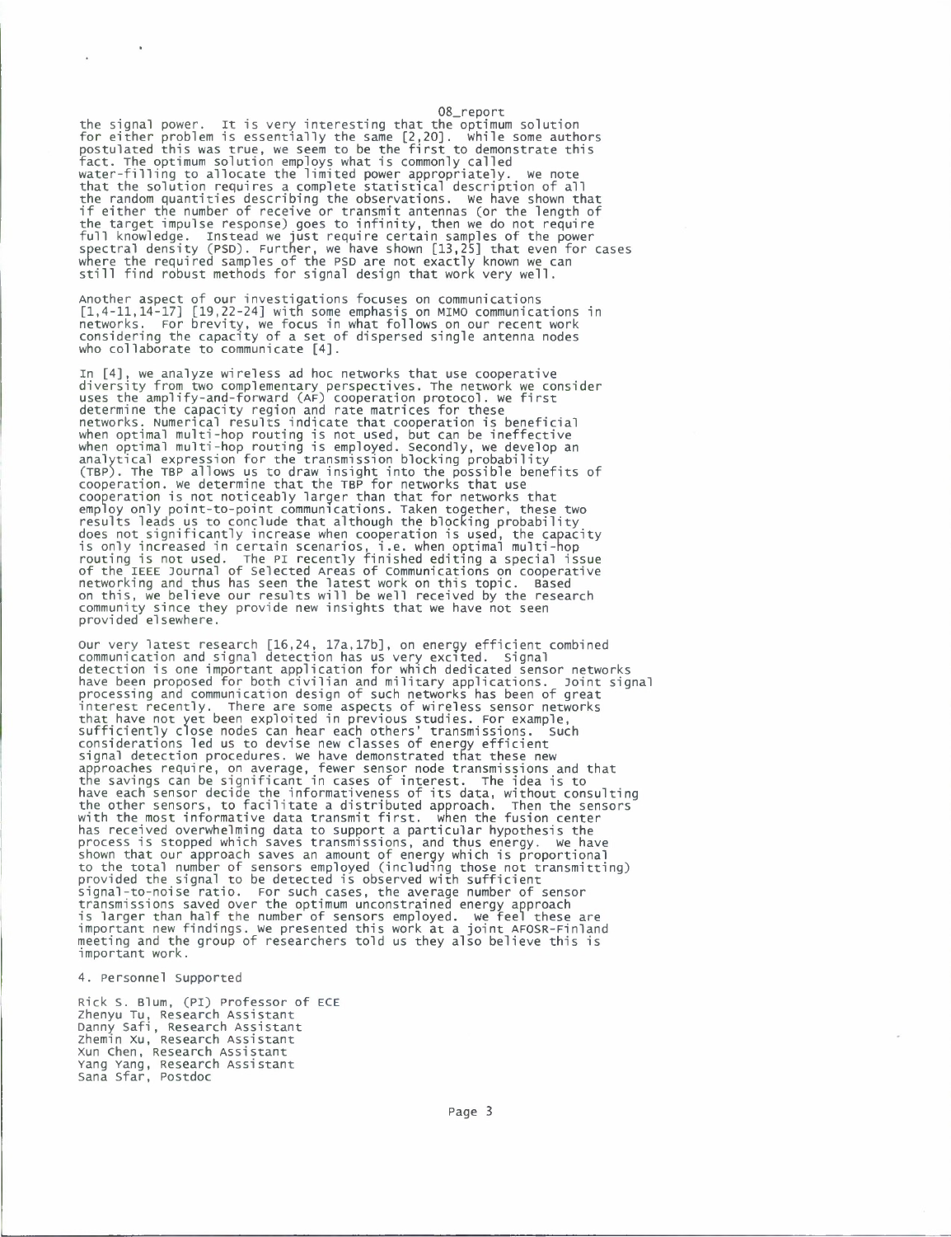08\_report the signal power. It is very interesting that the optimum solution for either problem is essentially the same [2,20]. While some authors postulated this was true, we seem to be the first to demonstrate this fact. The optimum solution employs what is commonly called water-filling to allocate the limited power appropriately. We note that the solution requires a complete statistical description of all the random quantities describing the observations. We have shown that if either the number of receive or transmit antennas (or the length of the target impulse response) goes to infinity, then we do not require full knowledge. Instead we just require certain samples of the power spectral density (PSD). Further, we have shown [13,25] that even for cases where the required samples of the PSD are not exactly known we can still find robust methods for signal design that work very well.

Another aspect of our investigations focuses on communications [1,4-11,14-17] [19,22-24] with some emphasis on MIMO communications in networks. For brevity, we focus in what follows on our recent work considering the capacity of a set of dispersed single antenna nodes who collaborate to communicate [4].

In [4], we analyze wireless ad hoc networks that use cooperative<br>diversity from two complementary perspectives. The network we consider<br>uses the amplify-and-forward (AF) cooperation protocol. we first<br>determine the capacit (TBP). The TBP allows us to draw insight into the possible benefits of cooperation, we determine that the TBP for networks that use cooperation is not noticeably larger than that for networks that employ only point-to-point communications. Taken together, these two results leads us to conclude that although the blocking probability does not significantly increase when cooperation is used, the capacity is only increased in certain scenarios, i.e. when optimal multi-hop routing is not used. The PI recently finished editing a special issue of the IEEE Journal of Selected Areas of communications on cooperative networking and thus has seen the latest work on this topic. Based on this, we believe our results will be well received by the research community since they provide new insights that we have not seen provided elsewhere.

Our very latest research [16,24, 17a,17b], on energy efficient combined communication and signal detection has us very excited. Signal detection is one important application for which dedicated sensor networks have been proposed for both civilian and military applications. Joint signal processing and communication design of such networks has been of great interest recently. There are some aspects of wireless sensor networks that have not yet been exploited in previous studies. For example, sufficiently close nodes can hear each others' transmissions. Such considerations led us to devise new classes of energy efficient signal detection procedures. We have demonstrated that these new approaches require, on average, fewer sensor node transmissions and that the savings can be significant in cases of interest. The idea is to have each sensor decide the informativeness of its data, without consulting the other sensors, to facilitate a distributed approach. Then the sensors with the most informative data transmit first. when the fusion center<br>has received overwhelming data to support a particular hypothesis the<br>process is stopped which saves transmissions, and thus energy. we have<br>shown tha to the total number of sensors employed (including those not transmitting) provided the signal to be detected is observed with sufficient signal-to-noise ratio. For such cases, the average number of sensor<br>transmissions saved over the optimum unconstrained energy approach<br>is larger than half the number of sensors employed. we feel these are<br>important new fin

#### 4. Personnel supported

Rick S. Blum, (PI) Professor of ECE Zhenyu Tu, Research Assistant Danny Safi, Research Assistant zhemin xu, Research Assistant xun Chen, Research Assistant Yang Yang, Research Assistant Sana Sfar, Postdoc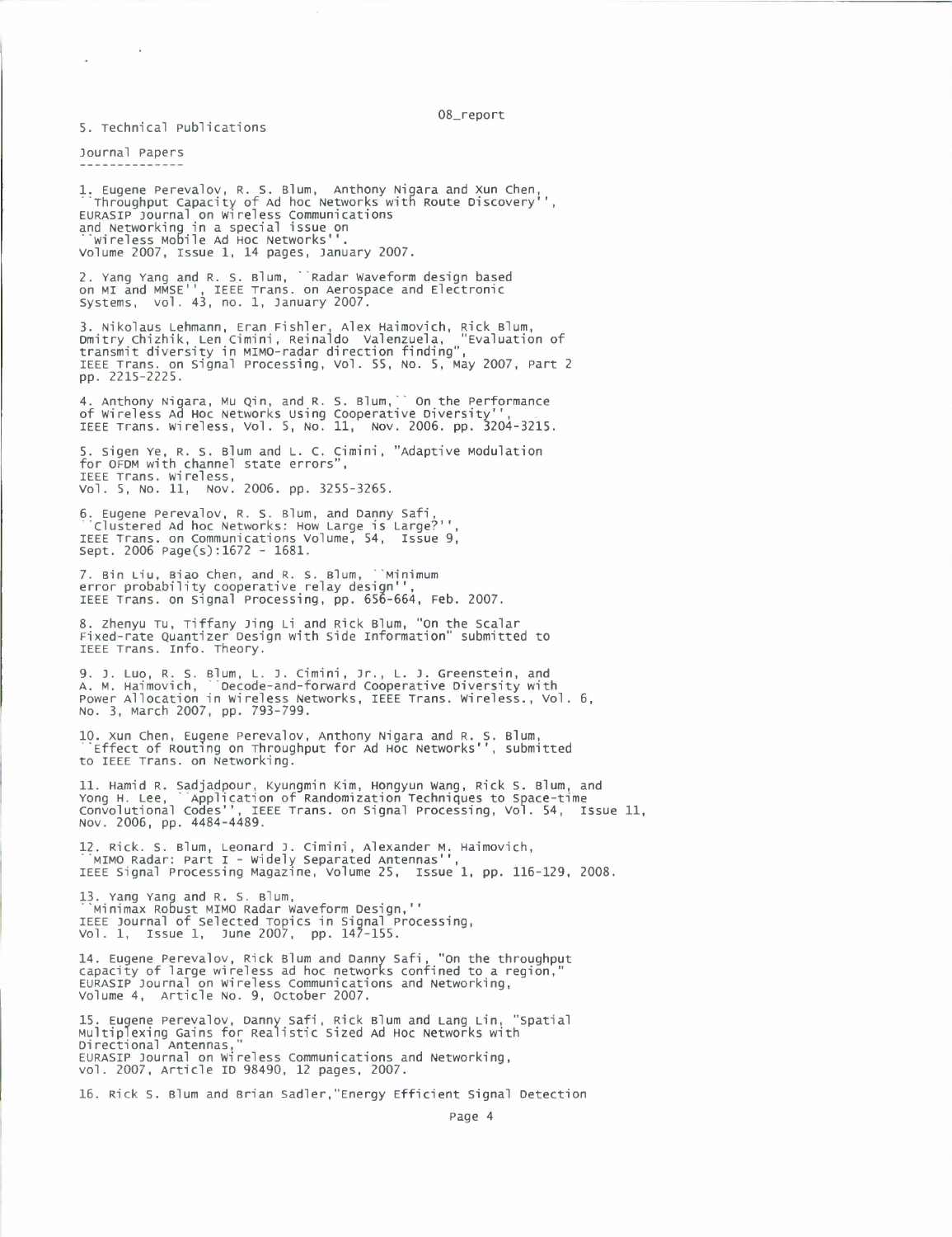08\_report

5. Technical Publications

Journal Papers

 $\ddot{\phantom{a}}$ 

1. Eugene Perevalov, R. S. Blum, Anthony Nigara and Xun Chen,<br>"Throughput Capacity of Ad hoc Networks with Route Discovery'',<br>EURASIP Journal on wireless Communications<br>and Networking in a special issue on<br>"wireless Mobile

2. Yang Yang and R. S. Blum, 'Radar waveform design based on MI and MMSE<sup>1</sup> ', IEEE Trans, on Aerospace and Electronic Systems, vol. 43, no. 1, January 2007.

3. Nikolaus Lehmann, Eran Fishier, Alex Haimovich, Rick Blum, Dmitry Chizhik, Len Cimini, Reinaldo valenzuela, "Evaluation of transmit diversity in MIMO-radar direction finding", IEEE Trans, on Signal Processing, vol. 55, No. 5, May 2007, Part <sup>2</sup> pp. 2215-2225.

4. Anthony Nigara, MU Qin, and R. S. Blum,' On the Performance of wireless Ad Hoc Networks using Cooperative Diversity'<sup>1</sup> , IEEE Trans, wireless, vol. 5, No. 11, Nov. 2006. pp. 3204-3215.

5. Sigen Ye, R. S. Blum and L. C. Cimini, "Adaptive Modulation<br>for OFDM with channel state errors",<br>IEEE Trans. wireless, Vol. 5, No. 11, Nov. 2006. pp. 3255-3265.

6. Eugene Perevalov, R. S. Blum, and Danny Safi,<br>``Clustered Ad hoc Networks: How Large is Large?'',<br>IEEE Trans. on Communications Volume, 54, Issue 9,<br>Sept. 2006 Page(s):1672 - 1681.

7. Bin Liu, Biao Chen, and R. S. Blum, ``Minimum<br>error probability cooperative relay design'',<br>IEEE Trans. on Signal Processing, pp. 656-664, Feb. 2007.

8. zhenyu Tu, Tiffany Jing Li and Rick Blum, "on the Scalar Fixed-rate Quantizer Design with Side information" submitted to IEEE Trans. Info. Theory.

9. J. Luo, R. S. Blum, L. J. Cimini, jr., L. J. Greenstein, and A. M. Haimovich, Decode-and-forward Cooperative Diversity with Power Allocation in wireless Networks, IEEE Trans, wireless., vol. 6, No. 3, March 2007, pp. 793-799.

10. Xun Chen, Eugene Perevalov, Anthony Nigara and R. S. Blum, 'Effect of Routing on Throughput for Ad HOC Networks'", submitted to IEEE Trans, on Networking.

11. Hamid R. Sadjadpour, Kyungmin Kim, Hongyun Wang, Rick S. Blum, and<br>Yong H. Lee, ``Application of Randomization Techniques to Space-time<br>Convolutional Codes'', IEEE Trans. on Signal Processing, Vol. 54, Issue 11,<br>Nov. 2

.<br>12. Rick. S. Blum, Leonard J. Cimini, Alexander м. Haimovich,<br>'МІМО Radar: Part I - Widely Separated Antennas'',<br>IEEE Signal Processing Magazine, Volume 25, Issue 1, pp. 116-129, 2008.

13. Yang Yang and R. S. Blum, ""Minimax Robust MIMO Radar waveform Design,1 ' IEEE journal of selected Topics in Signal Processing, vol. 1, issue 1, June 2007, pp. 147-155.

14. Eugene Perevalov, Rick Blum and Danny Safi, "On the throughput<br>capacity of large wireless ad hoc networks confined to a region,"<br>EURASIP Journal on Wireless Communications and Networking,<br>Volume 4, Article No. 9, Octob

15. Eugene Perevalov, Danny safi, Rick Blum and Lang Lin, "spatial Multiplexing Gains for Realistic Sized Ad Hoc Networks with Directional Antennas," EURASIP Journal on wireless Communications and Networking, vol. 2007, Article ID 98490, <sup>12</sup> pages, 2007.

16. Rick s. Blum and Brian Sadler, "Energy Efficient Signal Detection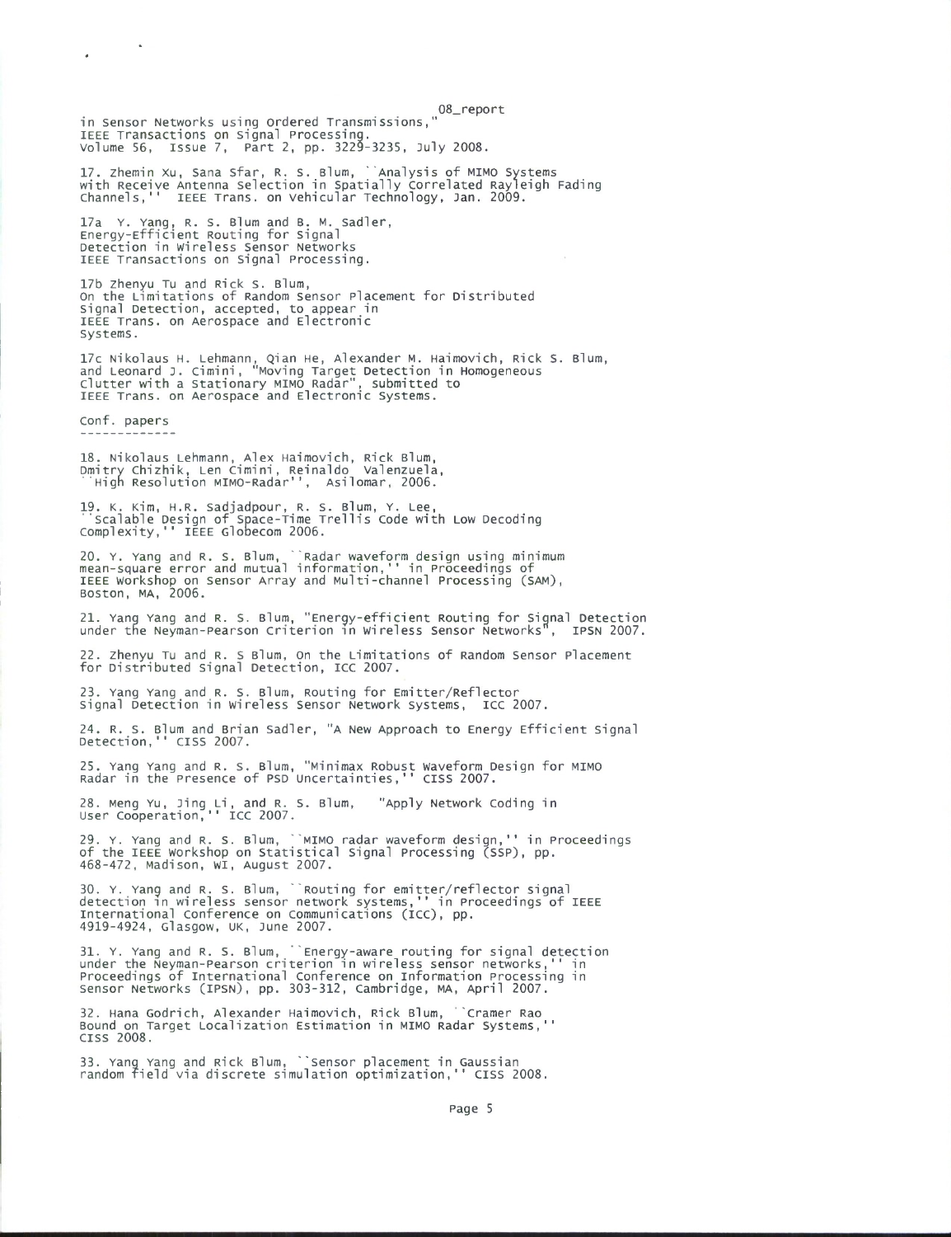08\_report in sensor Networks using Ordered Transmissions," IEEE Transactions on Signal Processing, volume 56, issue 7, Part 2, pp. 3229-3235, July 2008.

17. zhemin xu, Sana Sfar, R. S. Blum, 'Analysis of MIMO Systems with Receive Antenna Selection in Spatially Correlated Rayleigh Fading Channels,'' IEEE Trans, on vehicular Technology, Jan. 2009.

17a Y. Yang, R. S. Blum and B. M. Sadler, Energy-Efficient Routing for Signal Detection in wireless Sensor Networks IEEE Transactions on Signal Processing.

17b Zhenyu Tu and Rick S. Blum, On the Limitations of Random Sensor Placement for Distributed Signal Detection, accepted, to appear in IEEE Trans, on Aerospace and Electronic Systems.

17c Nikolaus H. Lehmann, Qian He, Alexander M. Haimovich, Rick S. Blum, and Leonard J. Cimini, "Moving Target Detection in Homogeneous Clutter with a Stationary MIMO Radar", submitted to IEEE Trans, on Aerospace and Electronic Systems.

Conf. papers

18. Nikolaus Lehmann, Alex Haimovich, Rick Blum, Dmitry Chizhik, Len Cimini, Reinaldo valenzuela, 'High Resolution MIMO-Radar'', Asilomar, 2006.

19. K. Kim, H.R. Sadjadpour, R. S. Blum, Y. Lee, 'Scalable Design of Space-Time Trellis Code with Low Decoding Complexity,'<sup>1</sup> IEEE Globecom 2006.

20. Y. Yang and R. S. Blum, 'Radar waveform design using minimum mean-square error and mutual information,'' in Proceedings of IEEE workshop on Sensor Array and Multi-channel Processing (SAM), Boston, MA, 2006.

21. Yang Yang and R. S. Blum, "Energy-efficient Routing for Signal Detection under the Neyman-Pearson Criterion in Wireless Sensor Networks", IPSN 2007.

22. Zhenyu Tu and R. <sup>S</sup> Blum, On the Limitations of Random Sensor Placement for Distributed Signal Detection, ICC 2007.

23. Yang Yang and R. S. Blum, Routing for Emitter/Reflector signal Detection in wireless sensor Network systems, ICC 2007.

24. R. s. Blum and Brian Sadler, "A New Approach to Energy Efficient Signal Detection,'' CISS 2007.

25. Yang Yang and R. S. Blum, "Minimax Robust waveform Design for MIMO Radar in the Presence of PSD uncertainties,<sup>1</sup> ' CISS 2007.

28. Meng YU, Jing Li, and R. S. Blum, "Apply Network Coding in user Cooperation,'' ICC 2007.

29. Y. Yang and R. S. Blum, ``MIMO radar waveform design,'' in Proceedings<br>of the IEEE workshop on Statistical Signal Processing (SSP), pp. 468-472, Madison, wi, August 2007.

30. Y. Yang and R. S. Blum, 'Routing for emitter/reflector signal detection in wireless sensor network systems,'' in Proceedings of IEEE international Conference on Communications (ICC), pp. 4919-4924, Glasgow, UK, June 2007.

31. Y. Yang and R. S. Blum, ``Energy-aware routing for signal detection<br>under the Neyman-Pearson criterion in wireless sensor networks,'' in<br>Proceedings of International Conference on Information Processing in<br>Sensor Netwo

32. Hana Godrich, Alexander Haimovich, Rick Blum, "Cramer Rao Bound on Target Localization Estimation in MIMO Radar Systems, CISS 2008.

33. Yang Yang and Rick Blum, 'Sensor placement in Gaussian random field via discrete simulation optimization,<sup>11</sup> CISS 2008.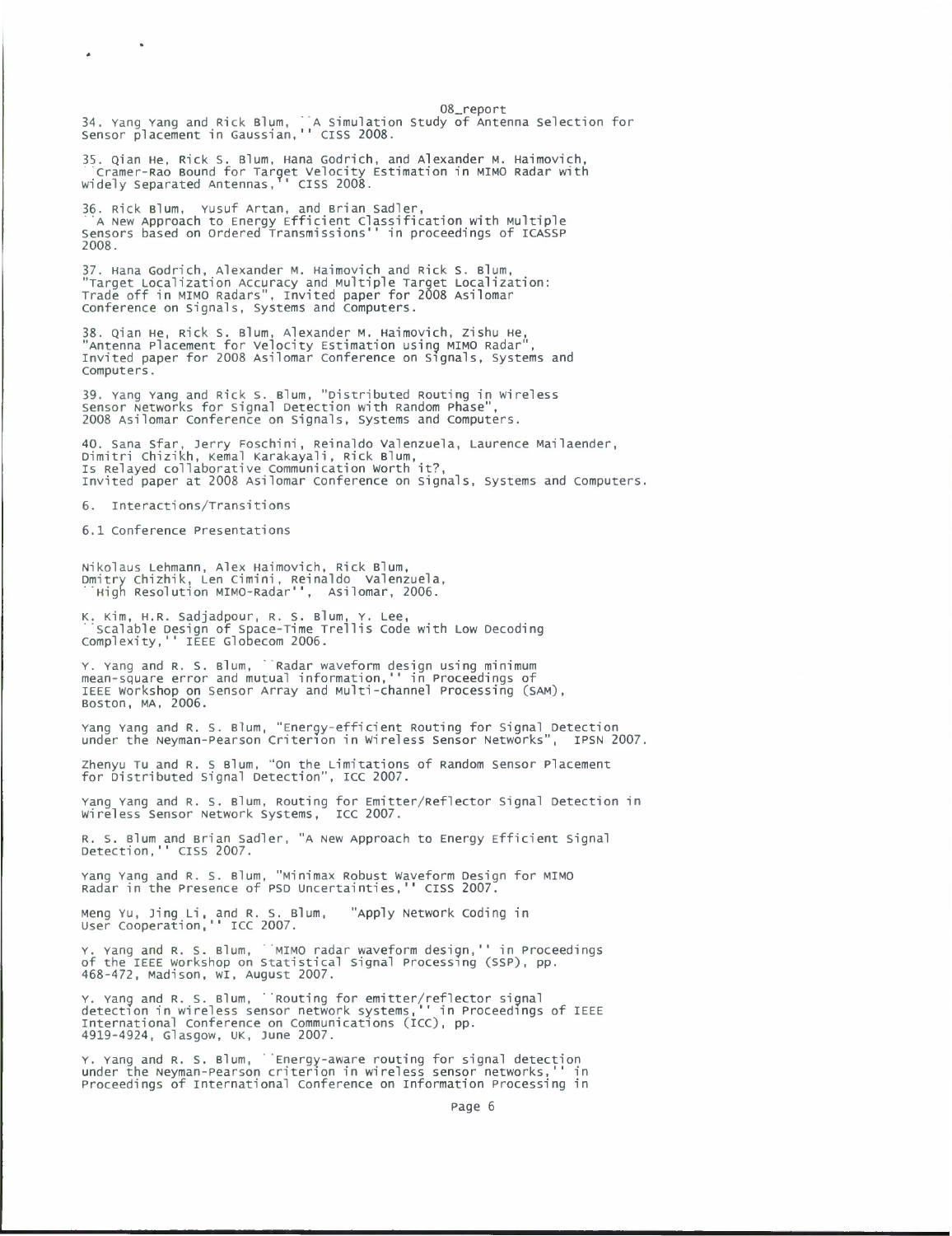08\_report 34. Yang Yang and Rick Blum, 'A Simulation Study of Antenna Selection for Sensor placement in Gaussian,<sup>1</sup> ' CISS 2008.

35. Qian He, Rick S. Blum, Hana Godrich, and Alexander M. Haimovich,<br>``Cramer-Rao Bound for Target Velocity Estimation in MIMO Radar with<br>widely Separated Antennas,'' CISS 2008.

36. Rick Blum, Yusuf Artan, and Brian Sadler, "A New Approach to Energy Efficient Classification with Multiple Sensors based on Ordered Transmissions'<sup>1</sup> in proceedings of ICASSP 2008.

37. Hana Godrich, Alexander M. Haimovich and Rick S. Blum,<br>"Target Localization Accuracy and Multiple Target Localization:<br>Trade off in MIMO Radars", Invited paper for 2008 Asilomar<br>Conference on Signals, Systems and Compu

38. Qian He, Rick S. Blum, Alexander M. Haimovich, Zishu He, "Antenna Placement for velocity Estimation using MIMO Radar", Invited paper for 2008 Asilomar Conference on Signals, Systems and Computers.

39. Yang Yang and Rick S. Blum, "Distributed Routing in Wireless Sensor Networks for signal Detection with Random Phase", 2008 Asilomar conference on signals, Systems and Computers.

40. Sana Sfar, Jerry Foschini, Reinaldo Valenzuela, Laurence Mailaender,<br>Dimitri Chizikh, Kemal Karakayali, Rick Blum,<br>Is Relayed collaborative Communication Worth it?,<br>Invited paper at 2008 Asilomar Conference on Signals,

6. interactions/Transitions

6.1 conference Presentations

Nikolaus Lehmann, Alex Haimovich, Rick Blum, Dmitry Chizhik, Len cimini, Reinaldo valenzuela, "High Resolution MIMO-Radar'', Asilomar, 2006.

K. Kim, H.R. Sadjadpour, R. S. Blum, Y. Lee,<br>¨Scalable Design of Space-Time Trellis Code with Low Decoding<br>Complexity,'' IEEE Globecom 2006.

Y. Yang and R. S. Blum, ``Radar waveform design using minimum<br>mean-square error and mutual information,'' in Proceedings of<br>IEEE Workshop on Sensor Array and Multi-channel Processing (SAM),<br>Boston, MA, 2006.

Yang Yang and R. S. Blum, "Energy-efficient Routing for Signal Detection under the Neyman-pearson Criterion in wireless Sensor Networks", IPSN 2007.

zhenyu Tu and R. <sup>S</sup> Blum, "On the Limitations of Random Sensor Placement for Distributed Signal Detection", ICC 2007.

Yang Yang and R. S. Blum, Routing for Emitter/Reflector Signal Detection in wireless Sensor Network Systems, ICC 2007.

R. S. Blum and Brian Sadler, "A New Approach to Energy Efficient Signal Detection,'' CISS 2007.

Yang Yang and R. S. Blum, "Minimax Robust waveform Design for MIMO Radar in the Presence of PSD Uncertainties,<sup>11</sup> CISS 2007.

Meng Yu, Jing Li, and R. S. Blum, "Apply Network Coding in<br>User Cooperation,'' ICC 2007.

Y. Yang and R. S. Blum, ``MIMO radar waveform design,'' in Proceedings<br>of the IEEE workshop on Statistical Signal Processing (SSP), pp.<br>468-472, Madison, wI, August 2007.

Y. Yang and R. S. Blum, <sup>'</sup>Routing for emitter/reflector signal<br>detection in wireless sensor network systems,'' in Proceedings of IEEE<br>International Conference on Communications (ICC), pp.<br>4919-4924, Glasgow, UK, June 2007

Y. Yang and R. S. Blum, 'Energy-aware routing for signal detection under the Neyman-pearson criterion in wireless sensor networks,'' in Proceedings of international Conference on Information Processing in